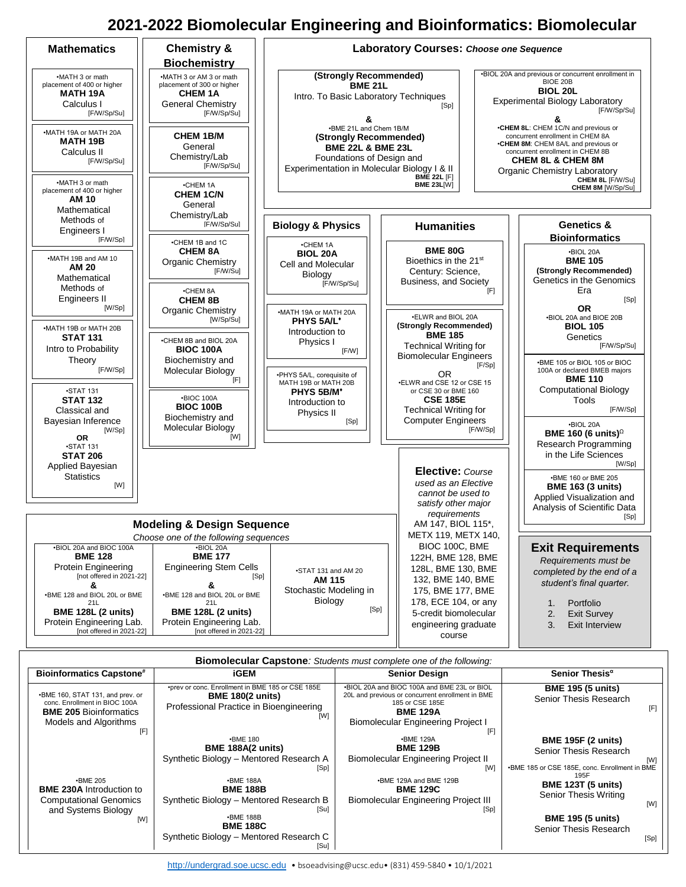## **2021-2022 Biomolecular Engineering and Bioinformatics: Biomolecular**



| <b>Biomolecular Capstone:</b> Students must complete one of the following:                         |                                                                                                                               |                                                                                                                                       |                                                            |  |
|----------------------------------------------------------------------------------------------------|-------------------------------------------------------------------------------------------------------------------------------|---------------------------------------------------------------------------------------------------------------------------------------|------------------------------------------------------------|--|
| <b>Bioinformatics Capstone#</b>                                                                    | iGEM                                                                                                                          | <b>Senior Design</b>                                                                                                                  | Senior Thesis <sup>a</sup>                                 |  |
| •BME 160, STAT 131, and prev. or<br>conc. Enrollment in BIOC 100A<br><b>BME 205 Bioinformatics</b> | •prev or conc. Enrollment in BME 185 or CSE 185E<br><b>BME 180(2 units)</b><br>Professional Practice in Bioengineering<br>[W] | .BIOL 20A and BIOC 100A and BME 23L or BIOL<br>20L and previous or concurrent enrollment in BME<br>185 or CSE 185E<br><b>BME 129A</b> | <b>BME 195 (5 units)</b><br>Senior Thesis Research<br>[F]  |  |
| Models and Algorithms<br>[F]                                                                       | $-BME 180$                                                                                                                    | Biomolecular Engineering Project I<br>[F]<br><b>-BME 129A</b>                                                                         |                                                            |  |
|                                                                                                    | <b>BME 188A(2 units)</b><br>Synthetic Biology - Mentored Research A                                                           | <b>BME 129B</b><br>Biomolecular Engineering Project II                                                                                | <b>BME 195F (2 units)</b><br>Senior Thesis Research<br>[W] |  |
|                                                                                                    | [Sp]                                                                                                                          | [W]                                                                                                                                   | •BME 185 or CSE 185E, conc. Enrollment in BME<br>195F      |  |
| $-BME 205$<br><b>BME 230A Introduction to</b>                                                      | <b>•BME 188A</b><br><b>BME 188B</b>                                                                                           | •BME 129A and BME 129B<br><b>BME 129C</b>                                                                                             | <b>BME 123T (5 units)</b><br>Senior Thesis Writing         |  |
| <b>Computational Genomics</b><br>and Systems Biology                                               | Synthetic Biology - Mentored Research B<br>[Su]<br><b>•BME 188B</b>                                                           | <b>Biomolecular Engineering Project III</b><br>[Sp]                                                                                   | [W]                                                        |  |
| [W]                                                                                                | <b>BME 188C</b>                                                                                                               |                                                                                                                                       | <b>BME 195 (5 units)</b><br>Senior Thesis Research         |  |
|                                                                                                    | Synthetic Biology - Mentored Research C<br>[Su]                                                                               |                                                                                                                                       | [Sp]                                                       |  |

[http://undergrad.soe.ucsc.edu](http://undergrad.soe.ucsc.edu/) • bsoeadvising@ucsc.edu• (831) 459-5840 • 10/1/2021